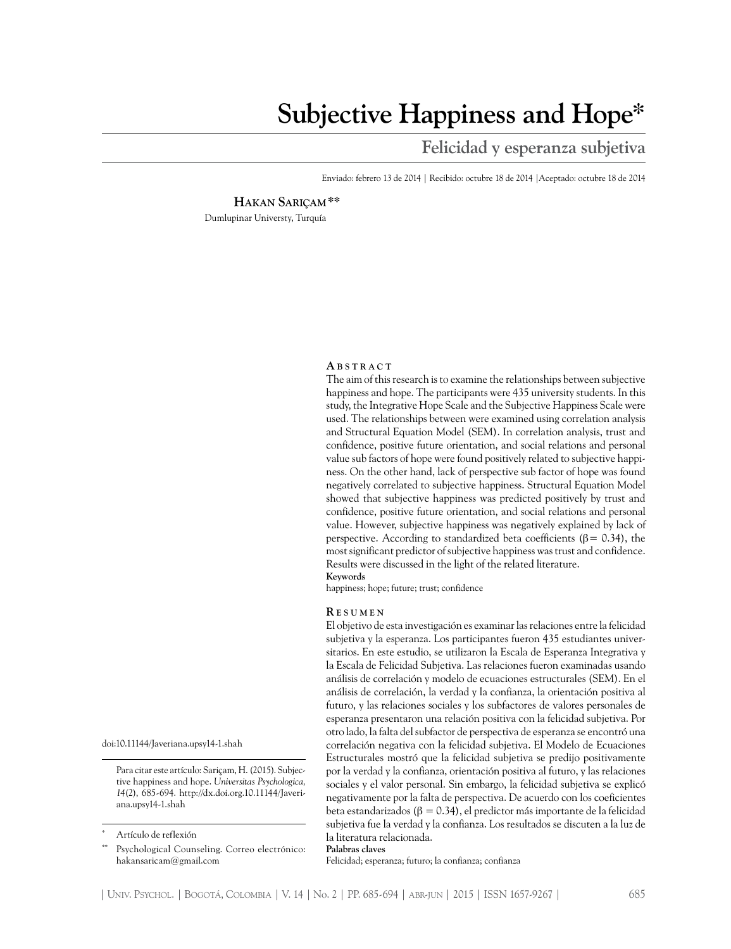# **Subjective Happiness and Hope**\*

# **Felicidad y esperanza subjetiva**

Enviado: febrero 13 de 2014 | Recibido: octubre 18 de 2014 |Aceptado: octubre 18 de 2014

# **Hakan Sariçam\*\***

Dumlupinar Universty, Turquía

#### **A b s t r a c t**

The aim of this research is to examine the relationships between subjective happiness and hope. The participants were 435 university students. In this study, the Integrative Hope Scale and the Subjective Happiness Scale were used. The relationships between were examined using correlation analysis and Structural Equation Model (SEM). In correlation analysis, trust and confidence, positive future orientation, and social relations and personal value sub factors of hope were found positively related to subjective happiness. On the other hand, lack of perspective sub factor of hope was found negatively correlated to subjective happiness. Structural Equation Model showed that subjective happiness was predicted positively by trust and confidence, positive future orientation, and social relations and personal value. However, subjective happiness was negatively explained by lack of perspective. According to standardized beta coefficients ( $\beta$  = 0.34), the most significant predictor of subjective happiness was trust and confidence. Results were discussed in the light of the related literature. **Keywords**

happiness; hope; future; trust; confidence

#### **R e s u m e n**

El objetivo de esta investigación es examinar las relaciones entre la felicidad subjetiva y la esperanza. Los participantes fueron 435 estudiantes universitarios. En este estudio, se utilizaron la Escala de Esperanza Integrativa y la Escala de Felicidad Subjetiva. Las relaciones fueron examinadas usando análisis de correlación y modelo de ecuaciones estructurales (SEM). En el análisis de correlación, la verdad y la confianza, la orientación positiva al futuro, y las relaciones sociales y los subfactores de valores personales de esperanza presentaron una relación positiva con la felicidad subjetiva. Por otro lado, la falta del subfactor de perspectiva de esperanza se encontró una correlación negativa con la felicidad subjetiva. El Modelo de Ecuaciones Estructurales mostró que la felicidad subjetiva se predijo positivamente por la verdad y la confianza, orientación positiva al futuro, y las relaciones sociales y el valor personal. Sin embargo, la felicidad subjetiva se explicó negativamente por la falta de perspectiva. De acuerdo con los coeficientes beta estandarizados ( $β = 0.34$ ), el predictor más importante de la felicidad subjetiva fue la verdad y la confianza. Los resultados se discuten a la luz de la literatura relacionada.

doi:10.11144/Javeriana.upsy14-1.shah

Para citar este artículo: Sariçam, H. (2015). Subjective happiness and hope. *Universitas Psychologica, 14*(2), 685-694. [http://dx.doi.org.10.11144/Javeri](http://dx.doi.org.10.11144/Javeriana.upsy14-1.shah)[ana.upsy14-1.shah](http://dx.doi.org.10.11144/Javeriana.upsy14-1.shah)

**Palabras claves**

Felicidad; esperanza; futuro; la confianza; confianza

Artículo de reflexión

<sup>\*\*</sup> Psychological Counseling. Correo electrónico: [hakansaricam@gmail.com](mailto:hakansaricam@gmail.com)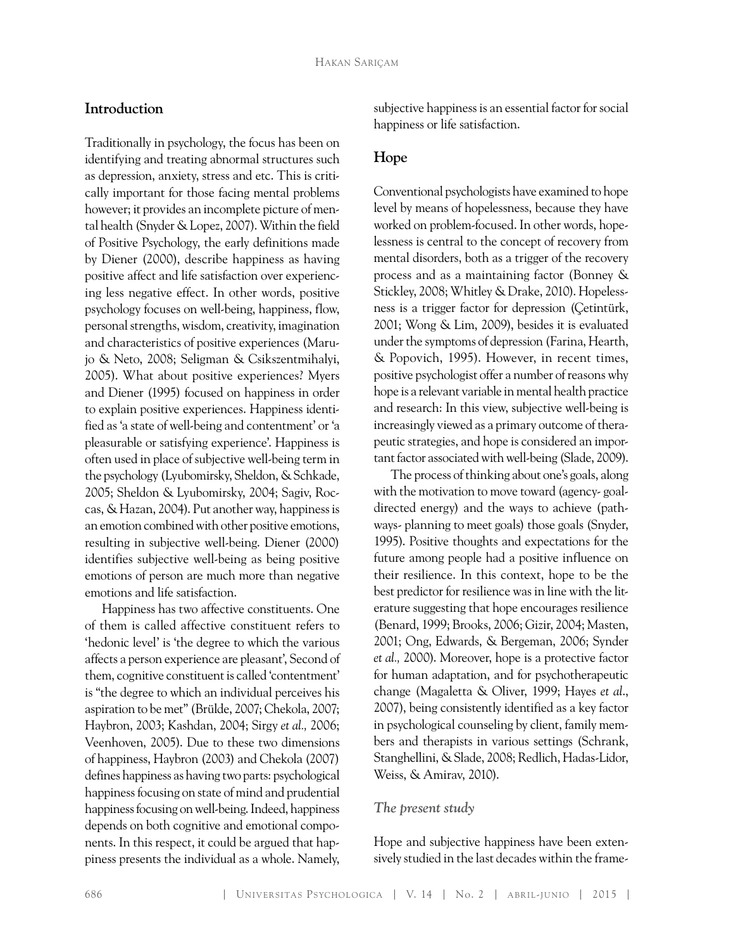# **Introduction**

Traditionally in psychology, the focus has been on identifying and treating abnormal structures such as depression, anxiety, stress and etc. This is critically important for those facing mental problems however; it provides an incomplete picture of mental health (Snyder & Lopez, 2007). Within the field of Positive Psychology, the early definitions made by Diener (2000), describe happiness as having positive affect and life satisfaction over experiencing less negative effect. In other words, positive psychology focuses on well-being, happiness, flow, personal strengths, wisdom, creativity, imagination and characteristics of positive experiences (Marujo & Neto, 2008; Seligman & Csikszentmihalyi, 2005). What about positive experiences? Myers and Diener (1995) focused on happiness in order to explain positive experiences. Happiness identified as 'a state of well-being and contentment' or 'a pleasurable or satisfying experience'. Happiness is often used in place of subjective well-being term in the psychology (Lyubomirsky, Sheldon, & Schkade, 2005; Sheldon & Lyubomirsky, 2004; Sagiv, Roccas, & Hazan, 2004). Put another way, happiness is an emotion combined with other positive emotions, resulting in subjective well-being. Diener (2000) identifies subjective well-being as being positive emotions of person are much more than negative emotions and life satisfaction.

Happiness has two affective constituents. One of them is called affective constituent refers to 'hedonic level' is 'the degree to which the various affects a person experience are pleasant', Second of them, cognitive constituent is called 'contentment' is "the degree to which an individual perceives his aspiration to be met" (Brülde, 2007; Chekola, 2007; Haybron, 2003; Kashdan, 2004; Sirgy *et al.,* 2006; Veenhoven, 2005). Due to these two dimensions of happiness, Haybron (2003) and Chekola (2007) defines happiness as having two parts: psychological happiness focusing on state of mind and prudential happiness focusing on well-being. Indeed, happiness depends on both cognitive and emotional components. In this respect, it could be argued that happiness presents the individual as a whole. Namely,

subjective happiness is an essential factor for social happiness or life satisfaction.

# **Hope**

Conventional psychologists have examined to hope level by means of hopelessness, because they have worked on problem-focused. In other words, hopelessness is central to the concept of recovery from mental disorders, both as a trigger of the recovery process and as a maintaining factor (Bonney & Stickley, 2008; Whitley & Drake, 2010). Hopelessness is a trigger factor for depression (Çetintürk, 2001; Wong & Lim, 2009), besides it is evaluated under the symptoms of depression (Farina, Hearth, & Popovich, 1995). However, in recent times, positive psychologist offer a number of reasons why hope is a relevant variable in mental health practice and research: In this view, subjective well-being is increasingly viewed as a primary outcome of therapeutic strategies, and hope is considered an important factor associated with well-being (Slade, 2009).

The process of thinking about one's goals, along with the motivation to move toward (agency- goaldirected energy) and the ways to achieve (pathways- planning to meet goals) those goals (Snyder, 1995). Positive thoughts and expectations for the future among people had a positive influence on their resilience. In this context, hope to be the best predictor for resilience was in line with the literature suggesting that hope encourages resilience (Benard, 1999; Brooks, 2006; Gizir, 2004; Masten, 2001; Ong, Edwards, & Bergeman, 2006; Synder *et al.,* 2000). Moreover, hope is a protective factor for human adaptation, and for psychotherapeutic change (Magaletta & Oliver, 1999; Hayes *et al*., 2007), being consistently identified as a key factor in psychological counseling by client, family members and therapists in various settings (Schrank, Stanghellini, & Slade, 2008; Redlich, Hadas-Lidor, Weiss, & Amirav, 2010).

# *The present study*

Hope and subjective happiness have been extensively studied in the last decades within the frame-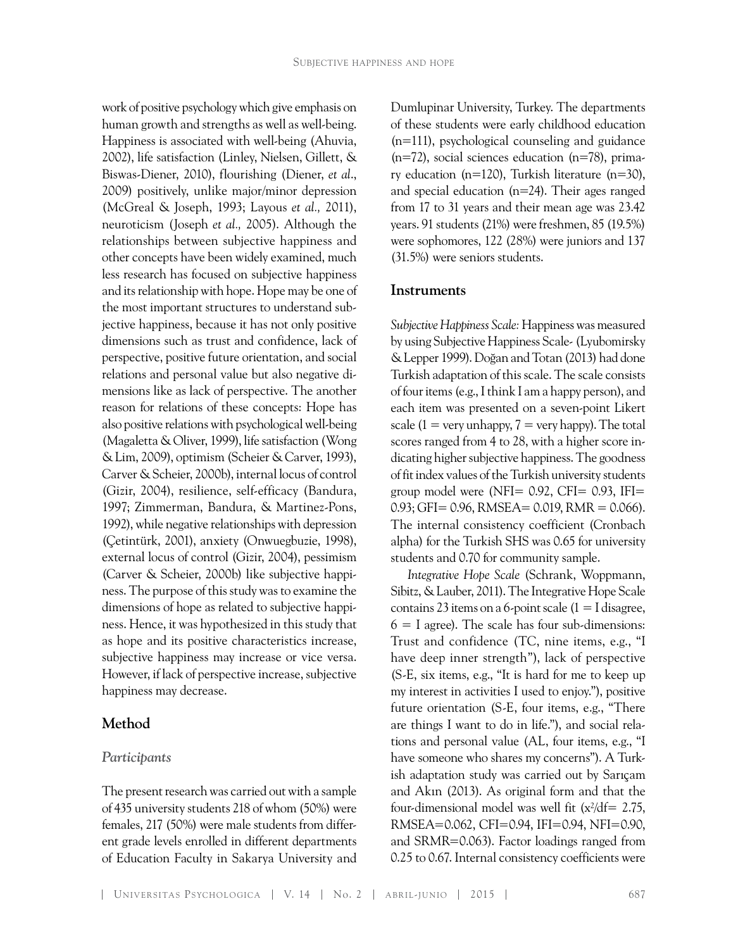work of positive psychology which give emphasis on human growth and strengths as well as well-being. Happiness is associated with well-being (Ahuvia, 2002), life satisfaction (Linley, Nielsen, Gillett, & Biswas-Diener, 2010), flourishing (Diener, *et al*., 2009) positively, unlike major/minor depression (McGreal & Joseph, 1993; Layous *et al.,* 2011), neuroticism (Joseph *et al.,* 2005). Although the relationships between subjective happiness and other concepts have been widely examined, much less research has focused on subjective happiness and its relationship with hope. Hope may be one of the most important structures to understand subjective happiness, because it has not only positive dimensions such as trust and confidence, lack of perspective, positive future orientation, and social relations and personal value but also negative dimensions like as lack of perspective. The another reason for relations of these concepts: Hope has also positive relations with psychological well-being (Magaletta & Oliver, 1999), life satisfaction (Wong & Lim, 2009), optimism (Scheier & Carver, 1993), Carver & Scheier, 2000b), internal locus of control (Gizir, 2004), resilience, self-efficacy (Bandura, 1997; Zimmerman, Bandura, & Martinez-Pons, 1992), while negative relationships with depression (Çetintürk, 2001), anxiety (Onwuegbuzie, 1998), external locus of control (Gizir, 2004), pessimism (Carver & Scheier, 2000b) like subjective happiness. The purpose of this study was to examine the dimensions of hope as related to subjective happiness. Hence, it was hypothesized in this study that as hope and its positive characteristics increase, subjective happiness may increase or vice versa. However, if lack of perspective increase, subjective happiness may decrease.

# **Method**

#### *Participants*

The present research was carried out with a sample of 435 university students 218 of whom (50%) were females, 217 (50%) were male students from different grade levels enrolled in different departments of Education Faculty in Sakarya University and Dumlupinar University, Turkey. The departments of these students were early childhood education (n=111), psychological counseling and guidance  $(n=72)$ , social sciences education  $(n=78)$ , primary education ( $n=120$ ), Turkish literature ( $n=30$ ), and special education (n=24). Their ages ranged from 17 to 31 years and their mean age was 23.42 years. 91 students (21%) were freshmen, 85 (19.5%) were sophomores, 122 (28%) were juniors and 137 (31.5%) were seniors students.

#### **Instruments**

*Subjective Happiness Scale:* Happiness was measured by using Subjective Happiness Scale- (Lyubomirsky & Lepper 1999). Doğan and Totan (2013) had done Turkish adaptation of this scale. The scale consists of four items (e.g., I think I am a happy person), and each item was presented on a seven-point Likert scale  $(1 = \text{very unhappy}, 7 = \text{very happy})$ . The total scores ranged from 4 to 28, with a higher score indicating higher subjective happiness. The goodness of fit index values of the Turkish university students group model were (NFI $= 0.92$ , CFI $= 0.93$ , IFI $=$  $0.93$ ; GFI= 0.96, RMSEA= 0.019, RMR = 0.066). The internal consistency coefficient (Cronbach alpha) for the Turkish SHS was 0.65 for university students and 0.70 for community sample.

*Integrative Hope Scale* (Schrank, Woppmann, Sibitz, & Lauber, 2011). The Integrative Hope Scale contains 23 items on a 6-point scale  $(1 = I$  disagree,  $6 = I$  agree). The scale has four sub-dimensions: Trust and confidence (TC, nine items, e.g., "I have deep inner strength"), lack of perspective (S-E, six items, e.g., "It is hard for me to keep up my interest in activities I used to enjoy."), positive future orientation (S-E, four items, e.g., "There are things I want to do in life."), and social relations and personal value (AL, four items, e.g., "I have someone who shares my concerns"). A Turkish adaptation study was carried out by Sarıçam and Akın (2013). As original form and that the four-dimensional model was well fit  $(x^2/df= 2.75$ , RMSEA=0.062, CFI=0.94, IFI=0.94, NFI=0.90, and SRMR=0.063). Factor loadings ranged from 0.25 to 0.67. Internal consistency coefficients were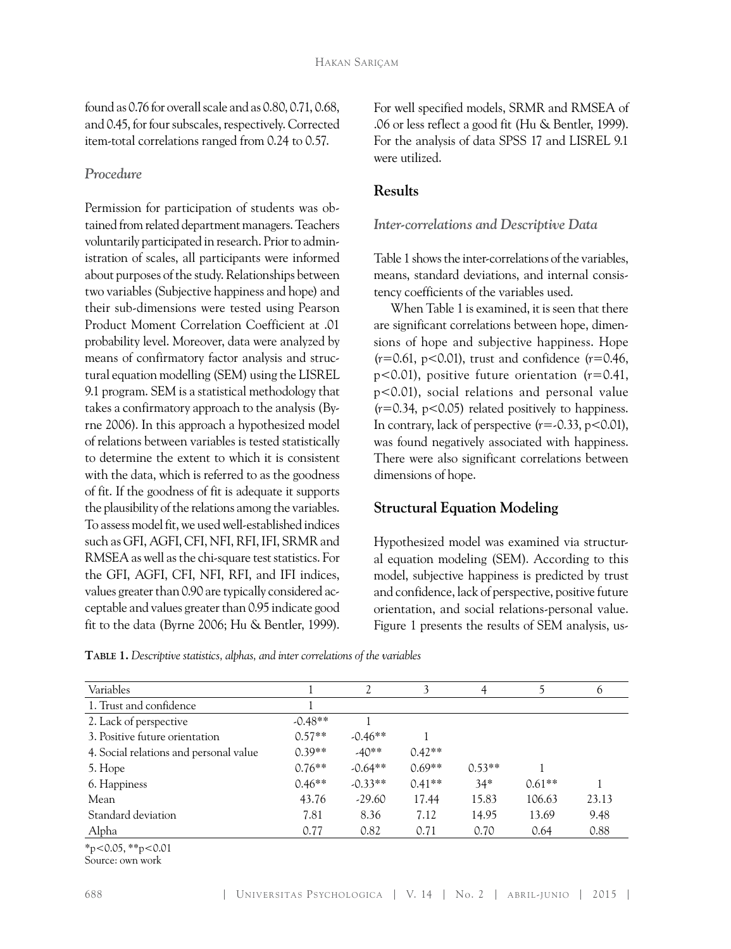found as 0.76 for overall scale and as 0.80, 0.71, 0.68, and 0.45, for four subscales, respectively. Corrected item-total correlations ranged from 0.24 to 0.57.

#### *Procedure*

Permission for participation of students was obtained from related department managers. Teachers voluntarily participated in research. Prior to administration of scales, all participants were informed about purposes of the study. Relationships between two variables (Subjective happiness and hope) and their sub-dimensions were tested using Pearson Product Moment Correlation Coefficient at .01 probability level. Moreover, data were analyzed by means of confirmatory factor analysis and structural equation modelling (SEM) using the LISREL 9.1 program. SEM is a statistical methodology that takes a confirmatory approach to the analysis (Byrne 2006). In this approach a hypothesized model of relations between variables is tested statistically to determine the extent to which it is consistent with the data, which is referred to as the goodness of fit. If the goodness of fit is adequate it supports the plausibility of the relations among the variables. To assess model fit, we used well-established indices such as GFI, AGFI, CFI, NFI, RFI, IFI, SRMR and RMSEA as well as the chi-square test statistics. For the GFI, AGFI, CFI, NFI, RFI, and IFI indices, values greater than 0.90 are typically considered acceptable and values greater than 0.95 indicate good fit to the data (Byrne 2006; Hu & Bentler, 1999).

For well specified models, SRMR and RMSEA of .06 or less reflect a good fit (Hu & Bentler, 1999). For the analysis of data SPSS 17 and LISREL 9.1 were utilized.

# **Results**

#### *Inter-correlations and Descriptive Data*

Table 1 shows the inter-correlations of the variables, means, standard deviations, and internal consistency coefficients of the variables used.

When Table 1 is examined, it is seen that there are significant correlations between hope, dimensions of hope and subjective happiness. Hope (*r*=0.61, p<0.01), trust and confidence (*r*=0.46, p<0.01), positive future orientation (*r*=0.41, p<0.01), social relations and personal value (*r*=0.34, p<0.05) related positively to happiness. In contrary, lack of perspective  $(r = -0.33, p < 0.01)$ , was found negatively associated with happiness. There were also significant correlations between dimensions of hope.

# **Structural Equation Modeling**

Hypothesized model was examined via structural equation modeling (SEM). According to this model, subjective happiness is predicted by trust and confidence, lack of perspective, positive future orientation, and social relations-personal value. Figure 1 presents the results of SEM analysis, us-

**Table 1.** *Descriptive statistics, alphas, and inter correlations of the variables*

| Variables                              |           |           |          | 4        |          | 6     |
|----------------------------------------|-----------|-----------|----------|----------|----------|-------|
| 1. Trust and confidence                |           |           |          |          |          |       |
| 2. Lack of perspective                 | $-0.48**$ |           |          |          |          |       |
| 3. Positive future orientation         | $0.57**$  | $-0.46**$ |          |          |          |       |
| 4. Social relations and personal value | $0.39**$  | $-40**$   | $0.42**$ |          |          |       |
| 5. Hope                                | $0.76**$  | $-0.64**$ | $0.69**$ | $0.53**$ |          |       |
| 6. Happiness                           | $0.46**$  | $-0.33**$ | $0.41**$ | $34*$    | $0.61**$ |       |
| Mean                                   | 43.76     | $-29.60$  | 17.44    | 15.83    | 106.63   | 23.13 |
| Standard deviation                     | 7.81      | 8.36      | 7.12     | 14.95    | 13.69    | 9.48  |
| Alpha                                  | 0.77      | 0.82      | 0.71     | 0.70     | 0.64     | 0.88  |

\*p<0.05, \*\*p<0.01

Source: own work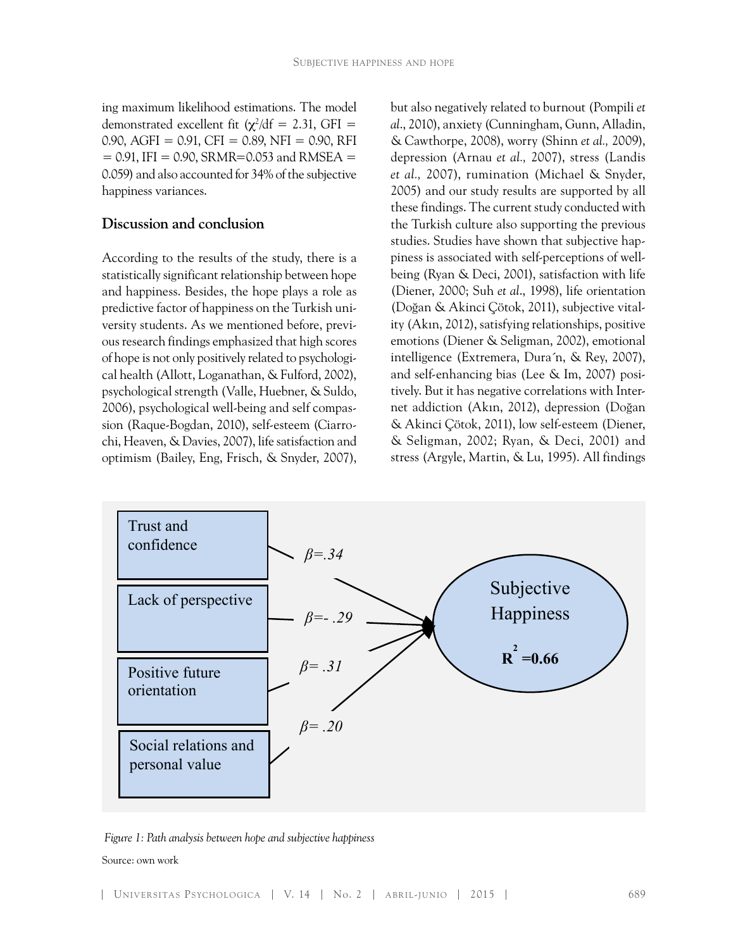ing maximum likelihood estimations. The model demonstrated excellent fit  $(\chi^2/df = 2.31, \text{ GFI} =$ 0.90, AGFI =  $0.91$ , CFI = 0.89, NFI = 0.90, RFI  $= 0.91$ , IFI = 0.90, SRMR=0.053 and RMSEA = 0.059) and also accounted for 34% of the subjective happiness variances.

# **Discussion and conclusion**

According to the results of the study, there is a statistically significant relationship between hope and happiness. Besides, the hope plays a role as predictive factor of happiness on the Turkish university students. As we mentioned before, previous research findings emphasized that high scores of hope is not only positively related to psychological health (Allott, Loganathan, & Fulford, 2002), psychological strength (Valle, Huebner, & Suldo, 2006), psychological well-being and self compassion (Raque-Bogdan, 2010), self-esteem (Ciarrochi, Heaven, & Davies, 2007), life satisfaction and optimism (Bailey, Eng, Frisch, & Snyder, 2007),

but also negatively related to burnout (Pompili *et al*., 2010), anxiety (Cunningham, Gunn, Alladin, & Cawthorpe, 2008), worry (Shinn *et al.,* 2009), depression (Arnau *et al.,* 2007), stress (Landis *et al.,* 2007), rumination (Michael & Snyder, 2005) and our study results are supported by all these findings. The current study conducted with the Turkish culture also supporting the previous studies. Studies have shown that subjective happiness is associated with self-perceptions of wellbeing (Ryan & Deci, 2001), satisfaction with life (Diener, 2000; Suh *et al*., 1998), life orientation (Doğan & Akinci Çötok, 2011), subjective vitality (Akın, 2012), satisfying relationships, positive emotions (Diener & Seligman, 2002), emotional intelligence (Extremera, Dura´n, & Rey, 2007), and self-enhancing bias (Lee & Im, 2007) positively. But it has negative correlations with Internet addiction (Akın, 2012), depression (Doğan & Akinci Çötok, 2011), low self-esteem (Diener, & Seligman, 2002; Ryan, & Deci, 2001) and stress (Argyle, Martin, & Lu, 1995). All findings



 *Figure 1: Path analysis between hope and subjective happiness*

#### Source: own work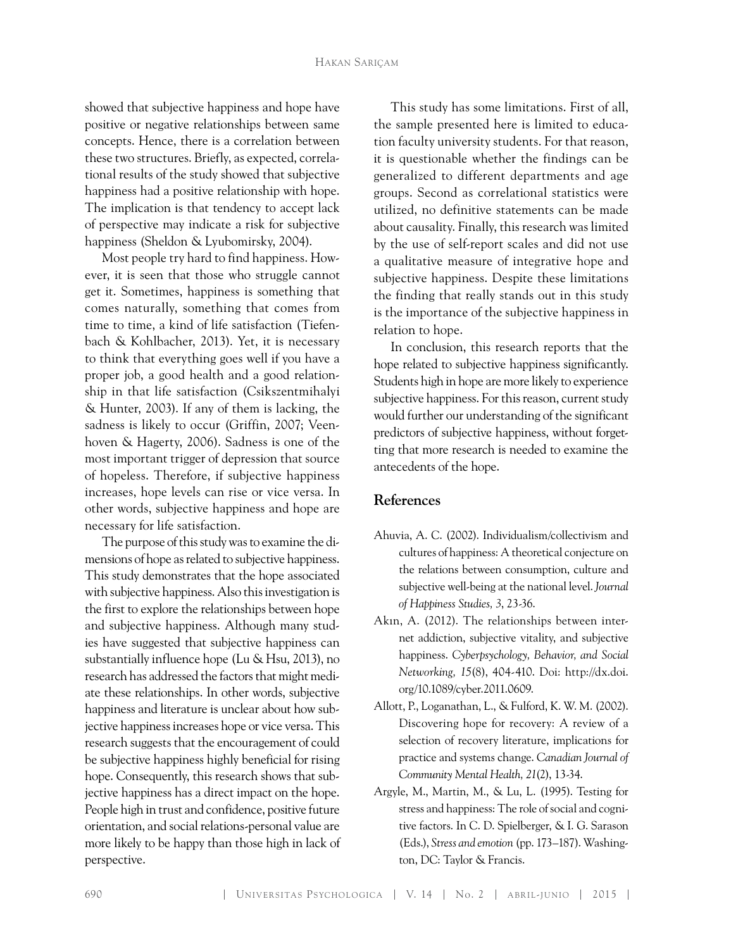showed that subjective happiness and hope have positive or negative relationships between same concepts. Hence, there is a correlation between these two structures. Briefly, as expected, correlational results of the study showed that subjective happiness had a positive relationship with hope. The implication is that tendency to accept lack of perspective may indicate a risk for subjective happiness (Sheldon & Lyubomirsky, 2004).

Most people try hard to find happiness. However, it is seen that those who struggle cannot get it. Sometimes, happiness is something that comes naturally, something that comes from time to time, a kind of life satisfaction (Tiefenbach & Kohlbacher, 2013). Yet, it is necessary to think that everything goes well if you have a proper job, a good health and a good relationship in that life satisfaction (Csikszentmihalyi & Hunter, 2003). If any of them is lacking, the sadness is likely to occur (Griffin, 2007; Veenhoven & Hagerty, 2006). Sadness is one of the most important trigger of depression that source of hopeless. Therefore, if subjective happiness increases, hope levels can rise or vice versa. In other words, subjective happiness and hope are necessary for life satisfaction.

The purpose of this study was to examine the dimensions of hope as related to subjective happiness. This study demonstrates that the hope associated with subjective happiness. Also this investigation is the first to explore the relationships between hope and subjective happiness. Although many studies have suggested that subjective happiness can substantially influence hope (Lu & Hsu, 2013), no research has addressed the factors that might mediate these relationships. In other words, subjective happiness and literature is unclear about how subjective happiness increases hope or vice versa. This research suggests that the encouragement of could be subjective happiness highly beneficial for rising hope. Consequently, this research shows that subjective happiness has a direct impact on the hope. People high in trust and confidence, positive future orientation, and social relations-personal value are more likely to be happy than those high in lack of perspective.

This study has some limitations. First of all, the sample presented here is limited to education faculty university students. For that reason, it is questionable whether the findings can be generalized to different departments and age groups. Second as correlational statistics were utilized, no definitive statements can be made about causality. Finally, this research was limited by the use of self-report scales and did not use a qualitative measure of integrative hope and subjective happiness. Despite these limitations the finding that really stands out in this study is the importance of the subjective happiness in relation to hope.

In conclusion, this research reports that the hope related to subjective happiness significantly. Students high in hope are more likely to experience subjective happiness. For this reason, current study would further our understanding of the significant predictors of subjective happiness, without forgetting that more research is needed to examine the antecedents of the hope.

### **References**

- Ahuvia, A. C. (2002). Individualism/collectivism and cultures of happiness: A theoretical conjecture on the relations between consumption, culture and subjective well-being at the national level. *Journal of Happiness Studies, 3*, 23-36.
- Akın, A. (2012). The relationships between internet addiction, subjective vitality, and subjective happiness. *Cyberpsychology, Behavior, and Social Networking, 15*(8), 404-410. Doi: http://dx.doi. org/10.1089/cyber.2011.0609.
- Allott, P., Loganathan, L., & Fulford, K. W. M. (2002). Discovering hope for recovery: A review of a selection of recovery literature, implications for practice and systems change. *Canadian Journal of Community Mental Health, 21*(2), 13-34.
- Argyle, M., Martin, M., & Lu, L. (1995). Testing for stress and happiness: The role of social and cognitive factors. In C. D. Spielberger, & I. G. Sarason (Eds.), *Stress and emotion* (pp. 173–187). Washington, DC: Taylor & Francis.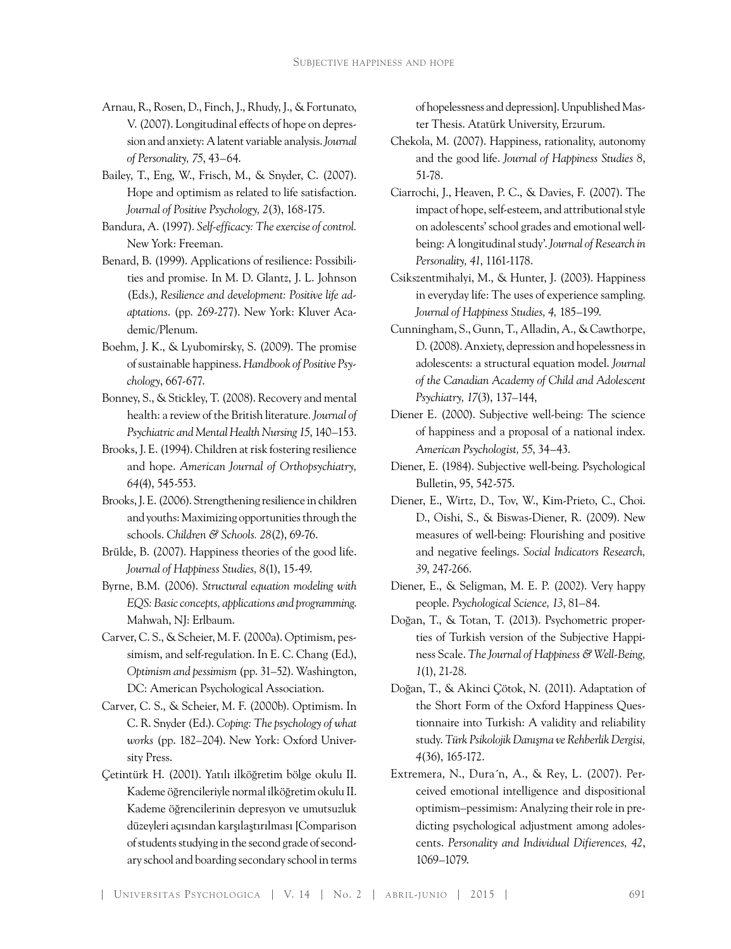- Arnau, R., Rosen, D., Finch, J., Rhudy, J., & Fortunato, V. (2007). Longitudinal effects of hope on depression and anxiety: A latent variable analysis. *Journal of Personality, 75*, 43–64.
- Bailey, T., Eng, W., Frisch, M., & Snyder, C. (2007). Hope and optimism as related to life satisfaction. *Journal of Positive Psychology, 2*(3), 168-175.
- Bandura, A. (1997). *Self-efficacy: The exercise of control.* New York: Freeman.
- Benard, B. (1999). Applications of resilience: Possibilities and promise. In M. D. Glantz, J. L. Johnson (Eds.), *Resilience and development: Positive life adaptations*. (pp. 269-277). New York: Kluver Academic/Plenum.
- Boehm, J. K., & Lyubomirsky, S. (2009). The promise of sustainable happiness. *Handbook of Positive Psychology*, 667-677.
- Bonney, S., & Stickley, T. (2008). Recovery and mental health: a review of the British literature*. Journal of Psychiatric and Mental Health Nursing 15*, 140–153.
- Brooks, J. E. (1994). Children at risk fostering resilience and hope. *American Journal of Orthopsychiatry, 64*(4), 545-553.
- Brooks, J. E. (2006). Strengthening resilience in children and youths: Maximizing opportunities through the schools. *Children & Schools. 28*(2), 69-76.
- Brülde, B. (2007). Happiness theories of the good life. *Journal of Happiness Studies, 8*(1), 15-49.
- Byrne, B.M. (2006). *Structural equation modeling with EQS: Basic concepts, applications and programming*. Mahwah, NJ: Erlbaum.
- Carver, C. S., & Scheier, M. F. (2000a). Optimism, pessimism, and self-regulation. In E. C. Chang (Ed.), *Optimism and pessimism* (pp. 31–52). Washington, DC: American Psychological Association.
- Carver, C. S., & Scheier, M. F. (2000b). Optimism. In C. R. Snyder (Ed.). *Coping: The psychology of what works* (pp. 182–204). New York: Oxford University Press.
- Çetintürk H. (2001). Yatılı ilköğretim bölge okulu II. Kademe öğrencileriyle normal ilköğretim okulu II. Kademe öğrencilerinin depresyon ve umutsuzluk düzeyleri açısından karşılaştırılması [Comparison of students studying in the second grade of secondary school and boarding secondary school in terms

of hopelessness and depression]. Unpublished Master Thesis. Atatürk University, Erzurum.

- Chekola, M. (2007). Happiness, rationality, autonomy and the good life. *Journal of Happiness Studies 8*, 51-78.
- Ciarrochi, J., Heaven, P. C., & Davies, F. (2007). The impact of hope, self-esteem, and attributional style on adolescents' school grades and emotional wellbeing: A longitudinal study'. *Journal of Research in Personality, 41*, 1161-1178.
- Csikszentmihalyi, M., & Hunter, J. (2003). Happiness in everyday life: The uses of experience sampling. *Journal of Happiness Studies, 4,* 185–199.
- Cunningham, S., Gunn, T., Alladin, A., & Cawthorpe, D. (2008). Anxiety, depression and hopelessness in adolescents: a structural equation model. *Journal of the Canadian Academy of Child and Adolescent Psychiatry, 17*(3), 137–144,
- Diener E. (2000). Subjective well-being: The science of happiness and a proposal of a national index. *American Psychologist, 55*, 34–43.
- Diener, E. (1984). Subjective well-being. Psychological Bulletin, 95, 542-575.
- Diener, E., Wirtz, D., Tov, W., Kim-Prieto, C., Choi. D., Oishi, S., & Biswas-Diener, R. (2009). New measures of well-being: Flourishing and positive and negative feelings. *Social Indicators Research, 39*, 247-266.
- Diener, E., & Seligman, M. E. P. (2002). Very happy people. *Psychological Science, 13*, 81–84.
- Doğan, T., & Totan, T. (2013). Psychometric properties of Turkish version of the Subjective Happiness Scale. *The Journal of Happiness & Well-Being, 1*(1), 21-28.
- Doğan, T., & Akinci Çötok, N. (2011). Adaptation of the Short Form of the Oxford Happiness Questionnaire into Turkish: A validity and reliability study. *Türk Psikolojik Danışma ve Rehberlik Dergisi, 4*(36), 165-172.
- Extremera, N., Dura´n, A., & Rey, L. (2007). Perceived emotional intelligence and dispositional optimism–pessimism: Analyzing their role in predicting psychological adjustment among adolescents. *Personality and Individual Difierences, 42*, 1069–1079.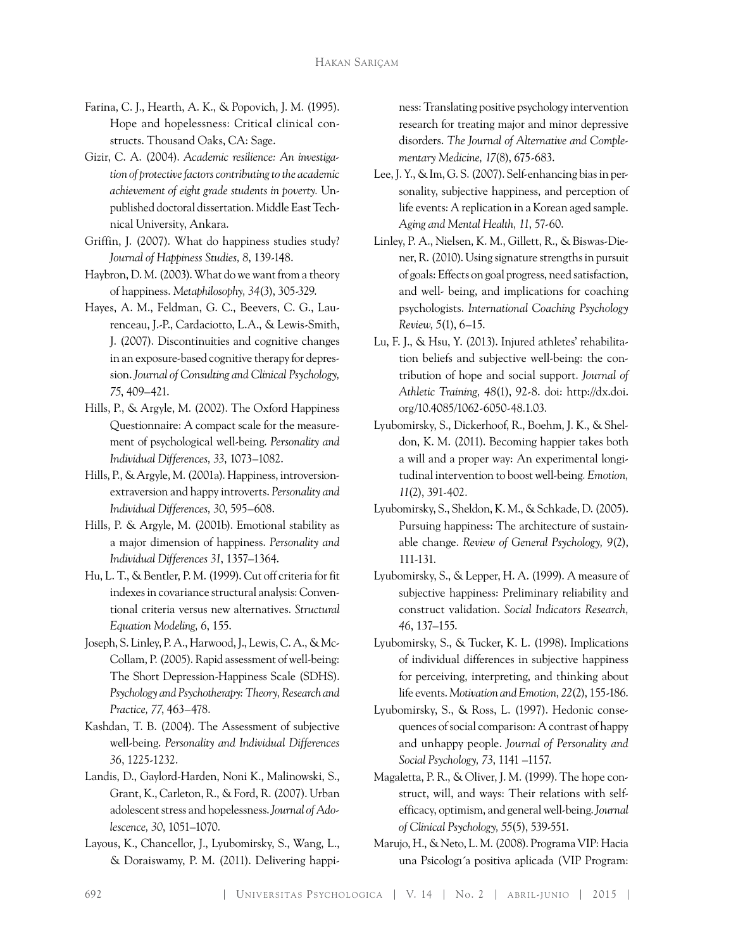- Farina, C. J., Hearth, A. K., & Popovich, J. M. (1995). Hope and hopelessness: Critical clinical constructs. Thousand Oaks, CA: Sage.
- Gizir, C. A. (2004). *Academic resilience: An investigation of protective factors contributing to the academic achievement of eight grade students in poverty.* Unpublished doctoral dissertation. Middle East Technical University, Ankara.
- Griffin, J. (2007). What do happiness studies study? *Journal of Happiness Studies, 8*, 139-148.
- Haybron, D. M. (2003). What do we want from a theory of happiness. *Metaphilosophy, 34*(3), 305-329.
- Hayes, A. M., Feldman, G. C., Beevers, C. G., Laurenceau, J.-P., Cardaciotto, L.A., & Lewis-Smith, J. (2007). Discontinuities and cognitive changes in an exposure-based cognitive therapy for depression. *Journal of Consulting and Clinical Psychology, 75*, 409–421.
- Hills, P., & Argyle, M. (2002). The Oxford Happiness Questionnaire: A compact scale for the measurement of psychological well-being. *Personality and Individual Differences, 33*, 1073–1082.
- Hills, P., & Argyle, M. (2001a). Happiness, introversionextraversion and happy introverts. *Personality and Individual Differences, 30*, 595–608.
- Hills, P. & Argyle, M. (2001b). Emotional stability as a major dimension of happiness. *Personality and Individual Differences 31*, 1357–1364.
- Hu, L. T., & Bentler, P. M. (1999). Cut off criteria for fit indexes in covariance structural analysis: Conventional criteria versus new alternatives. *Structural Equation Modeling, 6*, 155.
- Joseph, S. Linley, P. A., Harwood, J., Lewis, C. A., & Mc-Collam, P. (2005). Rapid assessment of well-being: The Short Depression-Happiness Scale (SDHS). *Psychology and Psychotherapy: Theory, Research and Practice, 77*, 463–478.
- Kashdan, T. B. (2004). The Assessment of subjective well-being. *Personality and Individual Differences 36*, 1225-1232.
- Landis, D., Gaylord-Harden, Noni K., Malinowski, S., Grant, K., Carleton, R., & Ford, R. (2007). Urban adolescent stress and hopelessness. *Journal of Adolescence, 30*, 1051–1070.
- Layous, K., Chancellor, J., Lyubomirsky, S., Wang, L., & Doraiswamy, P. M. (2011). Delivering happi-

ness: Translating positive psychology intervention research for treating major and minor depressive disorders. *The Journal of Alternative and Complementary Medicine, 17*(8), 675-683.

- Lee, J. Y., & Im, G. S. (2007). Self-enhancing bias in personality, subjective happiness, and perception of life events: A replication in a Korean aged sample. *Aging and Mental Health, 11*, 57-60.
- Linley, P. A., Nielsen, K. M., Gillett, R., & Biswas-Diener, R. (2010). Using signature strengths in pursuit of goals: Effects on goal progress, need satisfaction, and well- being, and implications for coaching psychologists. *International Coaching Psychology Review, 5*(1), 6–15.
- Lu, F. J., & Hsu, Y. (2013). Injured athletes' rehabilitation beliefs and subjective well-being: the contribution of hope and social support. *Journal of Athletic Training, 48*(1), 92-8. doi: http://dx.doi. org/10.4085/1062-6050-48.1.03.
- Lyubomirsky, S., Dickerhoof, R., Boehm, J. K., & Sheldon, K. M. (2011). Becoming happier takes both a will and a proper way: An experimental longitudinal intervention to boost well-being*. Emotion, 11*(2), 391-402.
- Lyubomirsky, S., Sheldon, K. M., & Schkade, D. (2005). Pursuing happiness: The architecture of sustainable change. *Review of General Psychology, 9*(2), 111-131.
- Lyubomirsky, S., & Lepper, H. A. (1999). A measure of subjective happiness: Preliminary reliability and construct validation. *Social Indicators Research, 46*, 137–155.
- Lyubomirsky, S., & Tucker, K. L. (1998). Implications of individual differences in subjective happiness for perceiving, interpreting, and thinking about life events. *Motivation and Emotion, 22*(2), 155-186.
- Lyubomirsky, S., & Ross, L. (1997). Hedonic consequences of social comparison: A contrast of happy and unhappy people. *Journal of Personality and Social Psychology, 73*, 1141 –1157.
- Magaletta, P. R., & Oliver, J. M. (1999). The hope construct, will, and ways: Their relations with selfefficacy, optimism, and general well-being. *Journal of Clinical Psychology, 55*(5), 539-551.
- Marujo, H., & Neto, L. M. (2008). Programa VIP: Hacia una Psicologı´a positiva aplicada (VIP Program: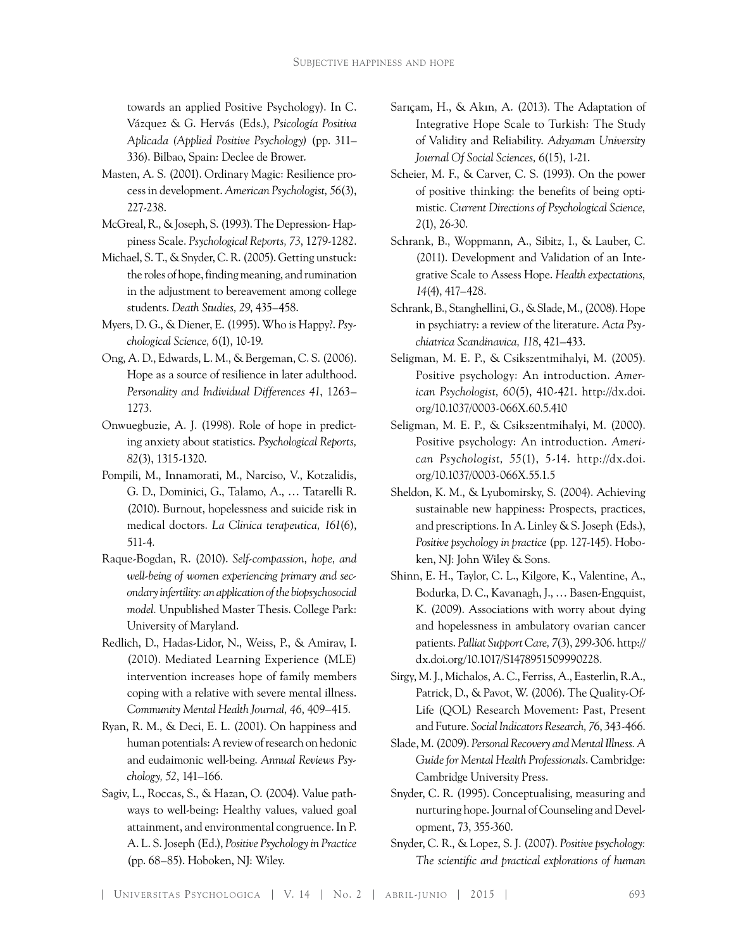towards an applied Positive Psychology). In C. Vázquez & G. Hervás (Eds.), *Psicología Positiva Aplicada (Applied Positive Psychology)* (pp. 311– 336). Bilbao, Spain: Declee de Brower.

- Masten, A. S. (2001). Ordinary Magic: Resilience process in development. *American Psychologist, 56*(3), 227-238.
- McGreal, R., & Joseph, S. (1993). The Depression- Happiness Scale. *Psychological Reports, 73*, 1279-1282.
- Michael, S. T., & Snyder, C. R. (2005). Getting unstuck: the roles of hope, finding meaning, and rumination in the adjustment to bereavement among college students. *Death Studies, 29*, 435–458.
- Myers, D. G., & Diener, E. (1995). Who is Happy?. *Psychological Science, 6*(1), 10-19.
- Ong, A. D., Edwards, L. M., & Bergeman, C. S. (2006). Hope as a source of resilience in later adulthood. *Personality and Individual Differences 41*, 1263– 1273.
- Onwuegbuzie, A. J. (1998). Role of hope in predicting anxiety about statistics. *Psychological Reports, 82*(3), 1315-1320.
- Pompili, M., Innamorati, M., Narciso, V., Kotzalidis, G. D., Dominici, G., Talamo, A., … Tatarelli R. (2010). Burnout, hopelessness and suicide risk in medical doctors. *La Clinica terapeutica, 161*(6), 511-4.
- Raque-Bogdan, R. (2010). *Self-compassion, hope, and well-being of women experiencing primary and secondary infertility: an application of the biopsychosocial model.* Unpublished Master Thesis. College Park: University of Maryland.
- Redlich, D., Hadas-Lidor, N., Weiss, P., & Amirav, I. (2010). Mediated Learning Experience (MLE) intervention increases hope of family members coping with a relative with severe mental illness. *Community Mental Health Journal, 46*, 409–415.
- Ryan, R. M., & Deci, E. L. (2001). On happiness and human potentials: A review of research on hedonic and eudaimonic well-being. *Annual Reviews Psychology, 52*, 141–166.
- Sagiv, L., Roccas, S., & Hazan, O. (2004). Value pathways to well-being: Healthy values, valued goal attainment, and environmental congruence. In P. A. L. S. Joseph (Ed.), *Positive Psychology in Practice* (pp. 68–85). Hoboken, NJ: Wiley.
- Sarıçam, H., & Akın, A. (2013). The Adaptation of Integrative Hope Scale to Turkish: The Study of Validity and Reliability. *Adıyaman University Journal Of Social Sciences, 6*(15), 1-21.
- Scheier, M. F., & Carver, C. S. (1993). On the power of positive thinking: the benefits of being optimistic*. Current Directions of Psychological Science, 2*(1), 26-30.
- Schrank, B., Woppmann, A., Sibitz, I., & Lauber, C. (2011). Development and Validation of an Integrative Scale to Assess Hope. *Health expectations, 14*(4), 417–428.
- Schrank, B., Stanghellini, G., & Slade, M., (2008). Hope in psychiatry: a review of the literature. *Acta Psychiatrica Scandinavica, 118*, 421–433.
- Seligman, M. E. P., & Csikszentmihalyi, M. (2005). Positive psychology: An introduction. *American Psychologist, 60*(5), 410-421. http://dx.doi. org/10.1037/0003-066X.60.5.410
- Seligman, M. E. P., & Csikszentmihalyi, M. (2000). Positive psychology: An introduction. *American Psychologist, 55*(1), 5-14. http://dx.doi. org/10.1037/0003-066X.55.1.5
- Sheldon, K. M., & Lyubomirsky, S. (2004). Achieving sustainable new happiness: Prospects, practices, and prescriptions. In A. Linley & S. Joseph (Eds.), *Positive psychology in practice* (pp. 127-145). Hoboken, NJ: John Wiley & Sons.
- Shinn, E. H., Taylor, C. L., Kilgore, K., Valentine, A., Bodurka, D. C., Kavanagh, J., … Basen-Engquist, K. (2009). Associations with worry about dying and hopelessness in ambulatory ovarian cancer patients. *Palliat Support Care, 7*(3), 299-306. http:// dx.doi.org/10.1017/S1478951509990228.
- Sirgy, M. J., Michalos, A. C., Ferriss, A., Easterlin, R.A., Patrick, D., & Pavot, W. (2006). The Quality-Of-Life (QOL) Research Movement: Past, Present and Future*. Social Indicators Research, 76*, 343-466.
- Slade, M. (2009). *Personal Recovery and Mental Illness. A Guide for Mental Health Professionals*. Cambridge: Cambridge University Press.
- Snyder, C. R. (1995). Conceptualising, measuring and nurturing hope. Journal of Counseling and Development, 73, 355-360.
- Snyder, C. R., & Lopez, S. J. (2007). *Positive psychology: The scientific and practical explorations of human*